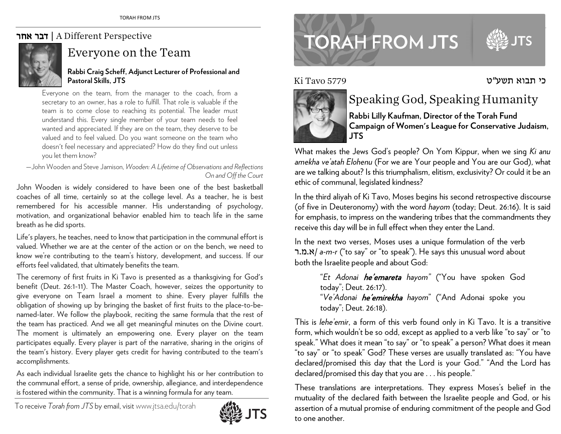### אחר דבר | A Different Perspective



### Everyone on the Team

#### **Rabbi Craig Scheff, Adjunct Lecturer of Professional and Pastoral Skills, JTS**

Everyone on the team, from the manager to the coach, from a secretary to an owner, has a role to fulfill. That role is valuable if the team is to come close to reaching its potential. The leader must understand this. Every single member of your team needs to feel wanted and appreciated. If they are on the team, they deserve to be valued and to feel valued. Do you want someone on the team who doesn't feel necessary and appreciated? How do they find out unless you let them know?

—John Wooden and Steve Jamison, *Wooden: A Lifetime of Observations and Reflections On and Off the Court*

John Wooden is widely considered to have been one of the best basketball coaches of all time, certainly so at the college level. As a teacher, he is best remembered for his accessible manner. His understanding of psychology, motivation, and organizational behavior enabled him to teach life in the same breath as he did sports.

Life's players, he teaches, need to know that participation in the communal effort is valued. Whether we are at the center of the action or on the bench, we need to know we're contributing to the team's history, development, and success. If our efforts feel validated, that ultimately benefits the team.

The ceremony of first fruits in Ki Tavo is presented as a thanksgiving for God's benefit (Deut. 26:1-11). The Master Coach, however, seizes the opportunity to give everyone on Team Israel a moment to shine. Every player fulfills the obligation of showing up by bringing the basket of first fruits to the place-to-benamed-later. We follow the playbook, reciting the same formula that the rest of the team has practiced. And we all get meaningful minutes on the Divine court. The moment is ultimately an empowering one. Every player on the team participates equally. Every player is part of the narrative, sharing in the origins of the team's history. Every player gets credit for having contributed to the team's accomplishments.

As each individual Israelite gets the chance to highlight his or her contribution to the communal effort, a sense of pride, ownership, allegiance, and interdependence is fostered within the community. That is a winning formula for any team.

To receive *Torah from JTS* by email, visit www.jtsa.edu/torah



# **TORAH FROM JTS**



### כי תבוא תשע"ט 5779 Tavo Ki



## Speaking God, Speaking Humanity

**Rabbi Lilly Kaufman, Director of the Torah Fund Campaign of Women's League for Conservative Judaism, JTS**

What makes the Jews God's people? On Yom Kippur, when we sing *Ki anu amekha ve'atah Elohenu* (For we are Your people and You are our God), what are we talking about? Is this triumphalism, elitism, exclusivity? Or could it be an ethic of communal, legislated kindness?

In the third aliyah of Ki Tavo, Moses begins his second retrospective discourse (of five in Deuteronomy) with the word *hayom* (today; Deut. 26:16). It is said for emphasis, to impress on the wandering tribes that the commandments they receive this day will be in full effect when they enter the Land.

In the next two verses, Moses uses a unique formulation of the verb ר.מ.א/ *a-m-r* ("to say" or "to speak"). He says this unusual word about both the Israelite people and about God:

> "*Et Adonai* he'emareta *hayom"* ("You have spoken God today"; Deut. 26:17). "*Ve'Adonai* he'emirekha *hayom*" ("And Adonai spoke you today"; Deut. 26:18).

This is *lehe'emir*, a form of this verb found only in Ki Tavo. It is a transitive form, which wouldn't be so odd, except as applied to a verb like "to say" or "to speak." What does it mean "to say" or "to speak" a person? What does it mean "to say" or "to speak" God? These verses are usually translated as: "You have declared/promised this day that the Lord is your God." "And the Lord has declared/promised this day that you are . . . his people."

These translations are interpretations. They express Moses's belief in the mutuality of the declared faith between the Israelite people and God, or his assertion of a mutual promise of enduring commitment of the people and God to one another.